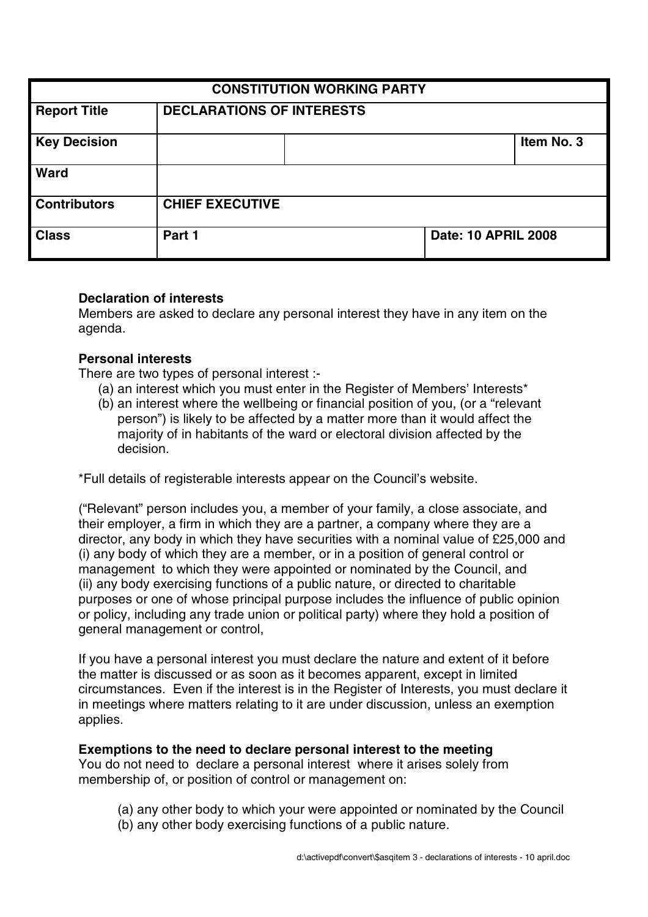| <b>CONSTITUTION WORKING PARTY</b> |                                  |  |                            |            |
|-----------------------------------|----------------------------------|--|----------------------------|------------|
| <b>Report Title</b>               | <b>DECLARATIONS OF INTERESTS</b> |  |                            |            |
| <b>Key Decision</b>               |                                  |  |                            | Item No. 3 |
| <b>Ward</b>                       |                                  |  |                            |            |
| <b>Contributors</b>               | <b>CHIEF EXECUTIVE</b>           |  |                            |            |
| <b>Class</b>                      | Part 1                           |  | <b>Date: 10 APRIL 2008</b> |            |

### **Declaration of interests**

Members are asked to declare any personal interest they have in any item on the agenda.

#### **Personal interests**

There are two types of personal interest :-

- (a) an interest which you must enter in the Register of Members' Interests\*
- (b) an interest where the wellbeing or financial position of you, (or a "relevant person") is likely to be affected by a matter more than it would affect the majority of in habitants of the ward or electoral division affected by the decision.

\*Full details of registerable interests appear on the Council's website.

("Relevant" person includes you, a member of your family, a close associate, and their employer, a firm in which they are a partner, a company where they are a director, any body in which they have securities with a nominal value of £25,000 and (i) any body of which they are a member, or in a position of general control or management to which they were appointed or nominated by the Council, and (ii) any body exercising functions of a public nature, or directed to charitable purposes or one of whose principal purpose includes the influence of public opinion or policy, including any trade union or political party) where they hold a position of general management or control,

If you have a personal interest you must declare the nature and extent of it before the matter is discussed or as soon as it becomes apparent, except in limited circumstances. Even if the interest is in the Register of Interests, you must declare it in meetings where matters relating to it are under discussion, unless an exemption applies.

#### **Exemptions to the need to declare personal interest to the meeting**

You do not need to declare a personal interest where it arises solely from membership of, or position of control or management on:

- (a) any other body to which your were appointed or nominated by the Council
- (b) any other body exercising functions of a public nature.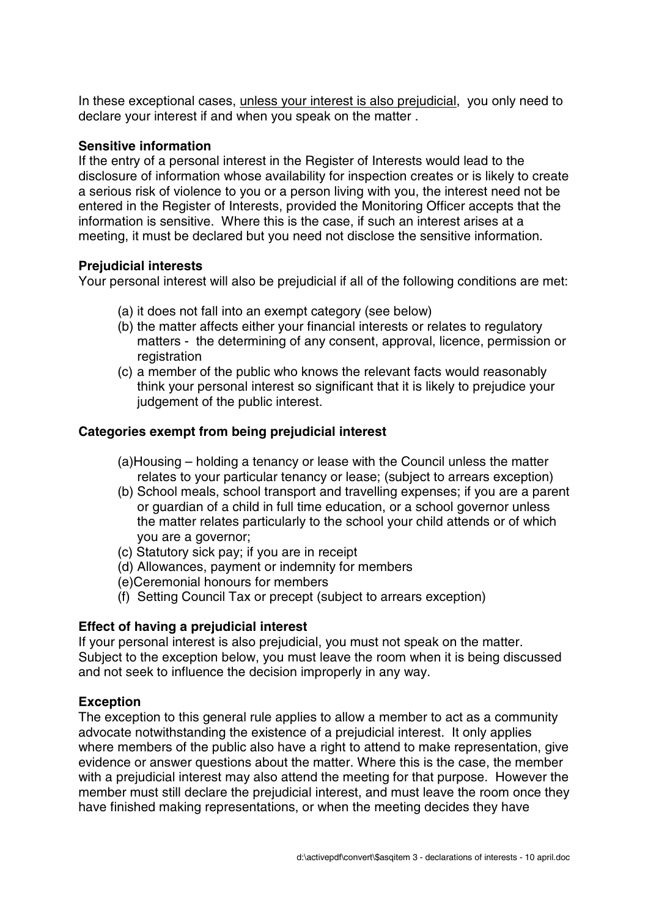In these exceptional cases, unless your interest is also prejudicial, you only need to declare your interest if and when you speak on the matter .

## **Sensitive information**

If the entry of a personal interest in the Register of Interests would lead to the disclosure of information whose availability for inspection creates or is likely to create a serious risk of violence to you or a person living with you, the interest need not be entered in the Register of Interests, provided the Monitoring Officer accepts that the information is sensitive. Where this is the case, if such an interest arises at a meeting, it must be declared but you need not disclose the sensitive information.

# **Prejudicial interests**

Your personal interest will also be prejudicial if all of the following conditions are met:

- (a) it does not fall into an exempt category (see below)
- (b) the matter affects either your financial interests or relates to regulatory matters - the determining of any consent, approval, licence, permission or registration
- (c) a member of the public who knows the relevant facts would reasonably think your personal interest so significant that it is likely to prejudice your judgement of the public interest.

# **Categories exempt from being prejudicial interest**

- (a)Housing holding a tenancy or lease with the Council unless the matter relates to your particular tenancy or lease; (subject to arrears exception)
- (b) School meals, school transport and travelling expenses; if you are a parent or guardian of a child in full time education, or a school governor unless the matter relates particularly to the school your child attends or of which you are a governor;
- (c) Statutory sick pay; if you are in receipt
- (d) Allowances, payment or indemnity for members
- (e)Ceremonial honours for members
- (f) Setting Council Tax or precept (subject to arrears exception)

# **Effect of having a prejudicial interest**

If your personal interest is also prejudicial, you must not speak on the matter. Subject to the exception below, you must leave the room when it is being discussed and not seek to influence the decision improperly in any way.

# **Exception**

The exception to this general rule applies to allow a member to act as a community advocate notwithstanding the existence of a prejudicial interest. It only applies where members of the public also have a right to attend to make representation, give evidence or answer questions about the matter. Where this is the case, the member with a prejudicial interest may also attend the meeting for that purpose. However the member must still declare the prejudicial interest, and must leave the room once they have finished making representations, or when the meeting decides they have